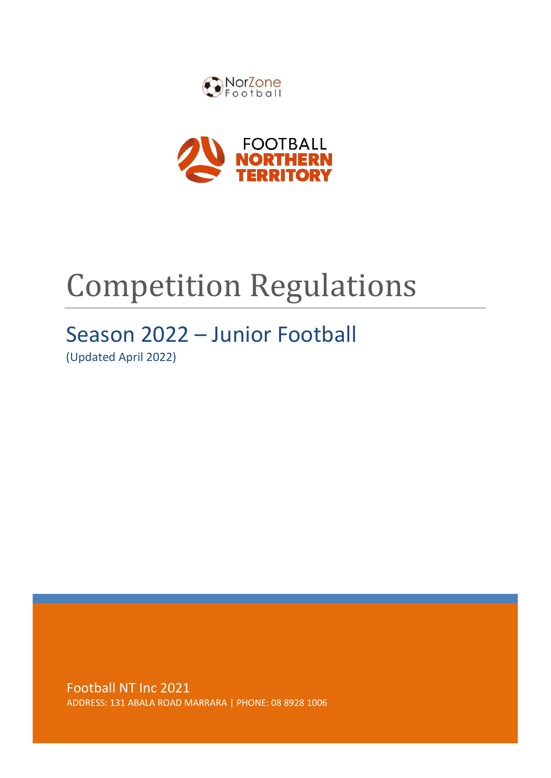



# Competition Regulations

# Season 2022 – Junior Football

(Updated April 2022)

Football NT Inc 2021 ADDRESS: 131 ABALA ROAD MARRARA | PHONE: 08 8928 1006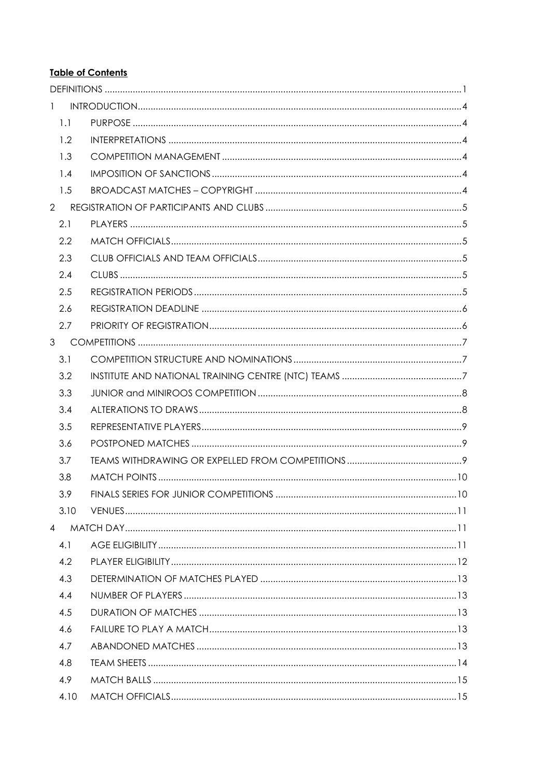# **Table of Contents**

| $\mathbf{1}$   |  |
|----------------|--|
| 1.1            |  |
| 1.2            |  |
| 1.3            |  |
| 1.4            |  |
| 1.5            |  |
| $\overline{2}$ |  |
| 2.1            |  |
| 2.2            |  |
| 2.3            |  |
| 2.4            |  |
| 2.5            |  |
| 2.6            |  |
| 2.7            |  |
|                |  |
| 3.1            |  |
| 3.2            |  |
| 3.3            |  |
| 3.4            |  |
| 3.5            |  |
| 3.6            |  |
| 3.7            |  |
| 3.8            |  |
| 3.9            |  |
| 3.10           |  |
| $\overline{4}$ |  |
| 4.1            |  |
| 4.2            |  |
| 4.3            |  |
| 4.4            |  |
| 4.5            |  |
| 4.6            |  |
| 4.7            |  |
| 4.8            |  |
| 4.9            |  |
| 4.10           |  |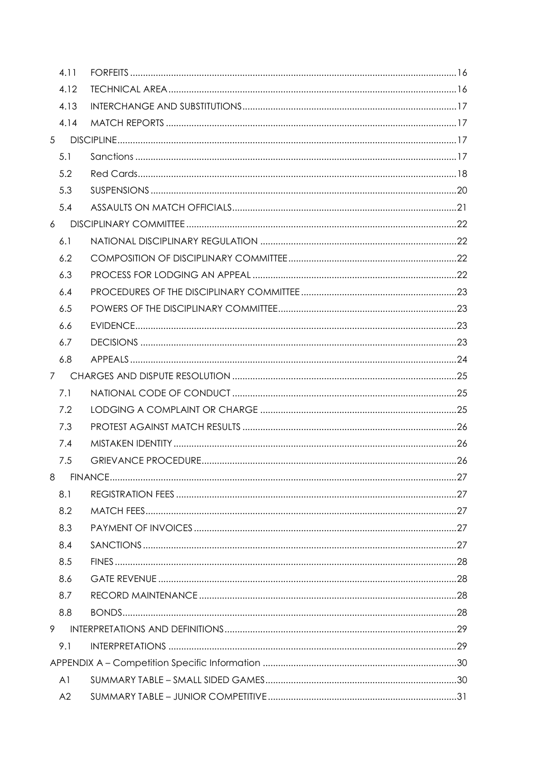|                | 4.11           |  |
|----------------|----------------|--|
|                | 4.12           |  |
|                | 4.13           |  |
|                | 4.14           |  |
| 5 <sup>5</sup> |                |  |
|                | 5.1            |  |
|                | 5.2            |  |
|                | 5.3            |  |
|                | 5.4            |  |
| 6              |                |  |
|                | 6.1            |  |
|                | 6.2            |  |
|                | 6.3            |  |
|                | 6.4            |  |
|                | 6.5            |  |
|                | 6.6            |  |
|                | 6.7            |  |
|                | 6.8            |  |
|                | 7 <sup>7</sup> |  |
|                | 7.1            |  |
|                | 7.2            |  |
|                | 7.3            |  |
|                | 7.4            |  |
|                | 7.5            |  |
| 8              |                |  |
|                | 8.1            |  |
|                | 8.2            |  |
|                | 8.3            |  |
|                | 8.4            |  |
|                | 8.5            |  |
|                | 8.6            |  |
|                | 8.7            |  |
|                | 8.8            |  |
| 9              |                |  |
|                | 9.1            |  |
|                |                |  |
|                | A <sub>1</sub> |  |
|                | A2             |  |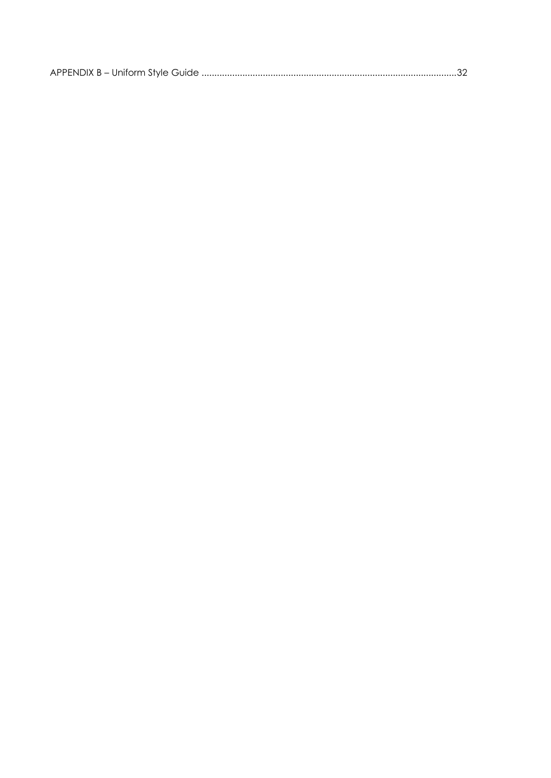|--|--|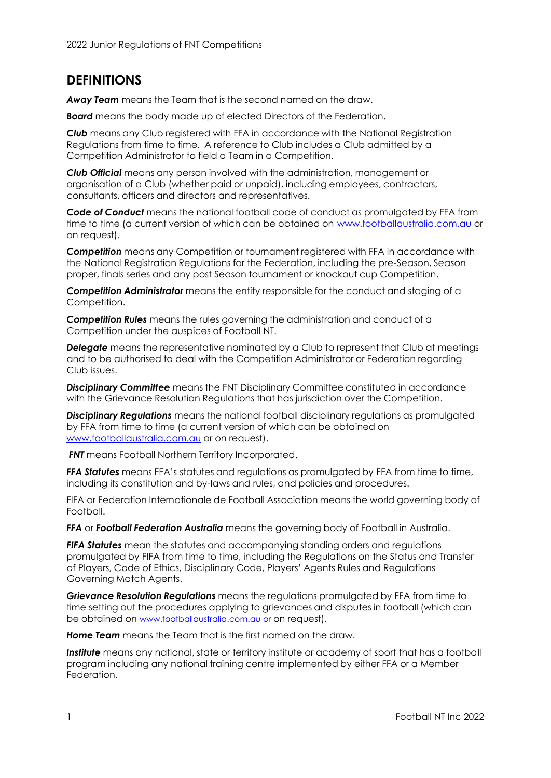# <span id="page-5-0"></span>**DEFINITIONS**

*Away Team* means the Team that is the second named on the draw.

*Board* means the body made up of elected Directors of the Federation.

*Club* means any Club registered with FFA in accordance with the National Registration Regulations from time to time. A reference to Club includes a Club admitted by a Competition Administrator to field a Team in a Competition.

*Club Official* means any person involved with the administration, management or organisation of a Club (whether paid or unpaid), including employees, contractors, consultants, officers and directors and representatives.

*Code of Conduct* means the national football code of conduct as promulgated by FFA from time to time (a current version of which can be obtained on [www.footballaustralia.com.au or](http://www.footballaustralia.com.au/) on request).

*Competition* means any Competition or tournament registered with FFA in accordance with the National Registration Regulations for the Federation, including the pre-Season, Season proper, finals series and any post Season tournament or knockout cup Competition.

*Competition Administrator* means the entity responsible for the conduct and staging of a Competition.

*Competition Rules* means the rules governing the administration and conduct of a Competition under the auspices of Football NT.

*Delegate* means the representative nominated by a Club to represent that Club at meetings and to be authorised to deal with the Competition Administrator or Federation regarding Club issues.

**Disciplinary Committee** means the FNT Disciplinary Committee constituted in accordance with the Grievance Resolution Regulations that has jurisdiction over the Competition.

*Disciplinary Regulations* means the national football disciplinary regulations as promulgated by FFA from time to time (a current version of which can be obtained on [www.footballaustralia.com.au or](http://www.footballaustralia.com.au/) on request).

**FNT** means Football Northern Territory Incorporated.

**FFA Statutes** means FFA's statutes and regulations as promulgated by FFA from time to time, including its constitution and by-laws and rules, and policies and procedures.

FIFA or Federation Internationale de Football Association means the world governing body of Football.

*FFA* or *Football Federation Australia* means the governing body of Football in Australia.

*FIFA Statutes* mean the statutes and accompanying standing orders and regulations promulgated by FIFA from time to time, including the Regulations on the Status and Transfer of Players, Code of Ethics, Disciplinary Code, Players' Agents Rules and Regulations Governing Match Agents.

*Grievance Resolution Regulations* means the regulations promulgated by FFA from time to time setting out the procedures applying to grievances and disputes in football (which can be obtained on www.footballaustralia.com.au or on request).

*Home Team* means the Team that is the first named on the draw.

*Institute* means any national, state or territory institute or academy of sport that has a football program including any national training centre implemented by either FFA or a Member Federation.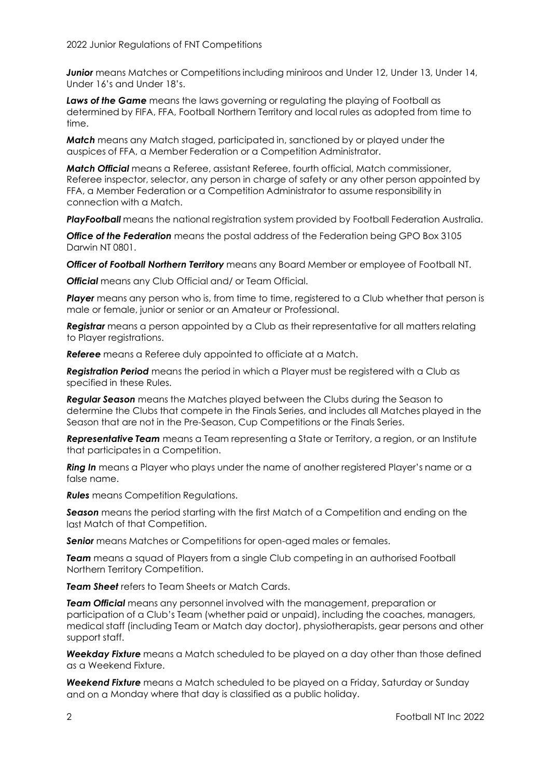2022 Junior Regulations of FNT Competitions

*Junior* means Matches or Competitions including miniroos and Under 12, Under 13, Under 14, Under 16's and Under 18's.

*Laws of the Game* means the laws governing or regulating the playing of Football as determined by FIFA, FFA, Football Northern Territory and local rules as adopted from time to time.

*Match* means any Match staged, participated in, sanctioned by or played under the auspices of FFA, a Member Federation or a Competition Administrator.

*Match Official* means a Referee, assistant Referee, fourth official, Match commissioner, Referee inspector, selector, any person in charge of safety or any other person appointed by FFA, a Member Federation or a Competition Administrator to assume responsibility in connection with a Match.

*PlayFootball* means the national registration system provided by Football Federation Australia.

*Office of the Federation* means the postal address of the Federation being GPO Box 3105 Darwin NT 0801.

*Officer of Football Northern Territory* means any Board Member or employee of Football NT.

*Official* means any Club Official and/ or Team Official.

**Player** means any person who is, from time to time, registered to a Club whether that person is male or female, junior or senior or an Amateur or Professional.

*Registrar* means a person appointed by a Club as their representative for all matters relating to Player registrations.

*Referee* means a Referee duly appointed to officiate at a Match.

*Registration Period* means the period in which a Player must be registered with a Club as specified in these Rules.

*Regular Season* means the Matches played between the Clubs during the Season to determine the Clubs that compete in the Finals Series, and includes all Matches played in the Season that are not in the Pre-Season, Cup Competitions or the Finals Series.

*Representative Team* means a Team representing a State or Territory, a region, or an Institute that participates in a Competition.

*Ring In* means a Player who plays under the name of another registered Player's name or a false name.

*Rules* means Competition Regulations.

*Season* means the period starting with the first Match of a Competition and ending on the last Match of that Competition.

**Senior** means Matches or Competitions for open-aged males or females.

*Team* means a squad of Players from a single Club competing in an authorised Football Northern Territory Competition.

*Team Sheet* refers to Team Sheets or Match Cards.

*Team Official* means any personnel involved with the management, preparation or participation of a Club's Team (whether paid or unpaid), including the coaches, managers, medical staff (including Team or Match day doctor), physiotherapists, gear persons and other support staff.

*Weekday Fixture* means a Match scheduled to be played on a day other than those defined as a Weekend Fixture.

*Weekend Fixture* means a Match scheduled to be played on a Friday, Saturday or Sunday and on a Monday where that day is classified as a public holiday.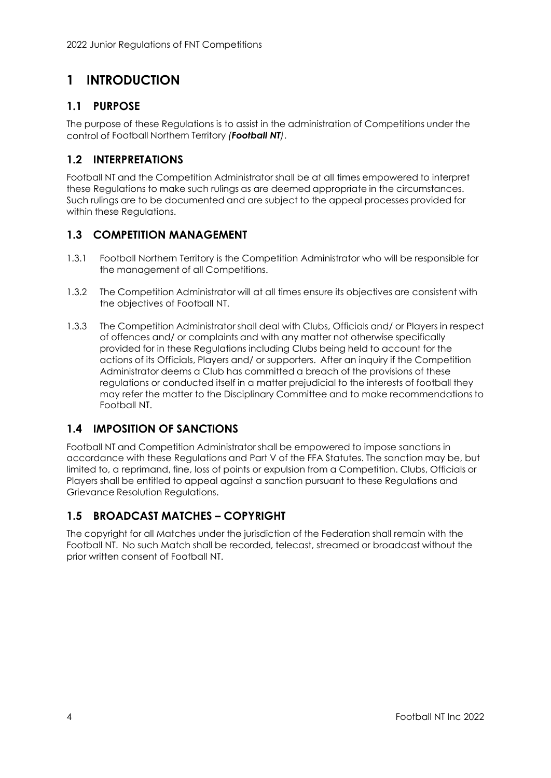# <span id="page-7-0"></span>**1 INTRODUCTION**

# <span id="page-7-1"></span>**1.1 PURPOSE**

The purpose of these Regulations is to assist in the administration of Competitions under the control of Football Northern Territory *(Football NT)*.

# <span id="page-7-2"></span>**1.2 INTERPRETATIONS**

Football NT and the Competition Administrator shall be at all times empowered to interpret these Regulations to make such rulings as are deemed appropriate in the circumstances. Such rulings are to be documented and are subject to the appeal processes provided for within these Regulations.

# <span id="page-7-3"></span>**1.3 COMPETITION MANAGEMENT**

- 1.3.1 Football Northern Territory is the Competition Administrator who will be responsible for the management of all Competitions.
- 1.3.2 The Competition Administrator will at all times ensure its objectives are consistent with the objectives of Football NT.
- 1.3.3 The Competition Administrator shall deal with Clubs, Officials and/ or Players in respect of offences and/ or complaints and with any matter not otherwise specifically provided for in these Regulations including Clubs being held to account for the actions of its Officials, Players and/ or supporters. After an inquiry if the Competition Administrator deems a Club has committed a breach of the provisions of these regulations or conducted itself in a matter prejudicial to the interests of football they may refer the matter to the Disciplinary Committee and to make recommendations to Football NT.

# <span id="page-7-4"></span>**1.4 IMPOSITION OF SANCTIONS**

Football NT and Competition Administrator shall be empowered to impose sanctions in accordance with these Regulations and Part V of the FFA Statutes. The sanction may be, but limited to, a reprimand, fine, loss of points or expulsion from a Competition. Clubs, Officials or Players shall be entitled to appeal against a sanction pursuant to these Regulations and Grievance Resolution Regulations.

# <span id="page-7-5"></span>**1.5 BROADCAST MATCHES – COPYRIGHT**

The copyright for all Matches under the jurisdiction of the Federation shall remain with the Football NT. No such Match shall be recorded, telecast, streamed or broadcast without the prior written consent of Football NT.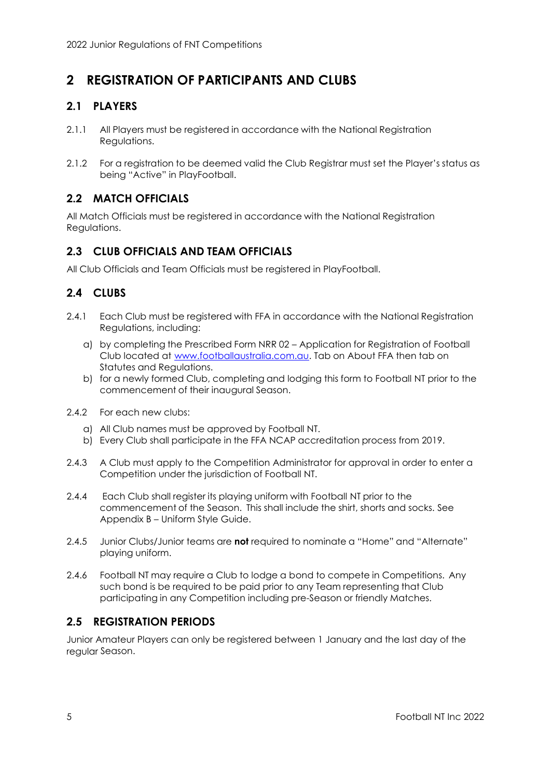# <span id="page-8-0"></span>**2 REGISTRATION OF PARTICIPANTS AND CLUBS**

# <span id="page-8-1"></span>**2.1 PLAYERS**

- 2.1.1 All Players must be registered in accordance with the National Registration Regulations.
- 2.1.2 For a registration to be deemed valid the Club Registrar must set the Player's status as being "Active" in PlayFootball.

# <span id="page-8-2"></span>**2.2 MATCH OFFICIALS**

All Match Officials must be registered in accordance with the National Registration Regulations.

# <span id="page-8-3"></span>**2.3 CLUB OFFICIALS AND TEAM OFFICIALS**

All Club Officials and Team Officials must be registered in PlayFootball.

# <span id="page-8-4"></span>**2.4 CLUBS**

- 2.4.1 Each Club must be registered with FFA in accordance with the National Registration Regulations, including:
	- a) by completing the Prescribed Form NRR 02 Application for Registration of Football Club located at [www.footballaustralia.com.au. Ta](http://www.footballaustralia.com.au/)b on About FFA then tab on Statutes and Regulations.
	- b) for a newly formed Club, completing and lodging this form to Football NT prior to the commencement of their inaugural Season.
- 2.4.2 For each new clubs:
	- a) All Club names must be approved by Football NT.
	- b) Every Club shall participate in the FFA NCAP accreditation process from 2019.
- 2.4.3 A Club must apply to the Competition Administrator for approval in order to enter a Competition under the jurisdiction of Football NT.
- 2.4.4 Each Club shall register its playing uniform with Football NT prior to the commencement of the Season. This shall include the shirt, shorts and socks. See Appendix B – Uniform Style Guide.
- 2.4.5 Junior Clubs/Junior teams are **not** required to nominate a "Home" and "Alternate" playing uniform.
- 2.4.6 Football NT may require a Club to lodge a bond to compete in Competitions. Any such bond is be required to be paid prior to any Team representing that Club participating in any Competition including pre-Season or friendly Matches.

# <span id="page-8-5"></span>**2.5 REGISTRATION PERIODS**

Junior Amateur Players can only be registered between 1 January and the last day of the regular Season.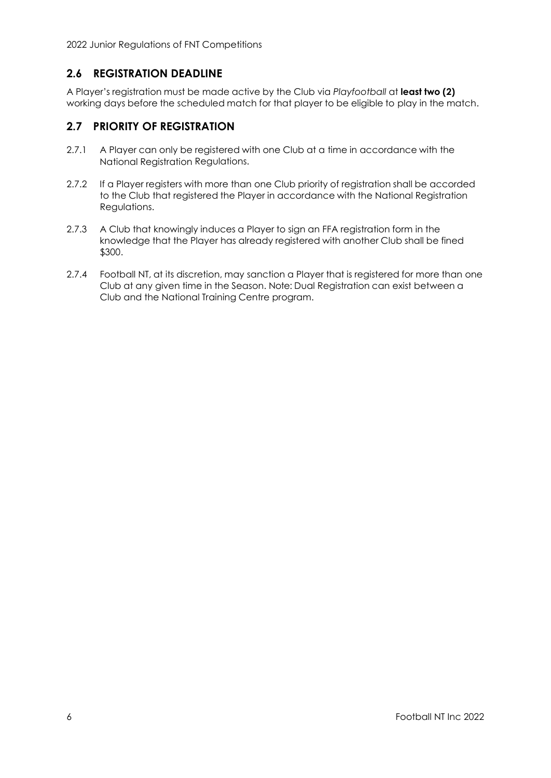# <span id="page-9-0"></span>**2.6 REGISTRATION DEADLINE**

A Player's registration must be made active by the Club via *Playfootball* at **least two (2)** working days before the scheduled match for that player to be eligible to play in the match.

# <span id="page-9-1"></span>**2.7 PRIORITY OF REGISTRATION**

- 2.7.1 A Player can only be registered with one Club at a time in accordance with the National Registration Regulations.
- 2.7.2 If a Player registers with more than one Club priority of registration shall be accorded to the Club that registered the Player in accordance with the National Registration Regulations.
- 2.7.3 A Club that knowingly induces a Player to sign an FFA registration form in the knowledge that the Player has already registered with another Club shall be fined \$300.
- 2.7.4 Football NT, at its discretion, may sanction a Player that is registered for more than one Club at any given time in the Season. Note: Dual Registration can exist between a Club and the National Training Centre program.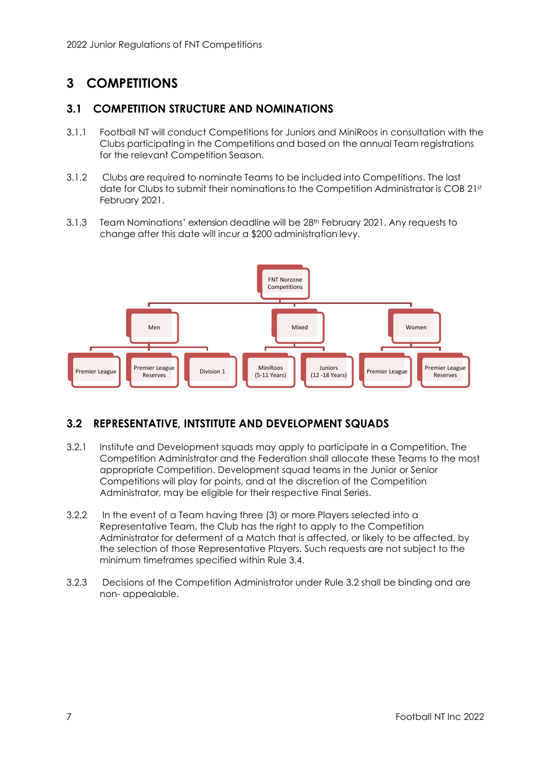# <span id="page-10-0"></span>**3 COMPETITIONS**

# <span id="page-10-1"></span>**3.1 COMPETITION STRUCTURE AND NOMINATIONS**

- 3.1.1 Football NT will conduct Competitions for Juniors and MiniRoos in consultation with the Clubs participating in the Competitions and based on the annual Team registrations for the relevant Competition Season.
- 3.1.2 Clubs are required to nominate Teams to be included into Competitions. The last date for Clubs to submit their nominations to the Competition Administrator is COB 21st February 2021.
- 3.1.3 Team Nominations' extension deadline will be 28<sup>th</sup> February 2021. Any requests to change after this date will incur a \$200 administration levy.



# <span id="page-10-2"></span>**3.2 REPRESENTATIVE, INTSTITUTE AND DEVELOPMENT SQUADS**

- 3.2.1 Institute and Development squads may apply to participate in a Competition. The Competition Administrator and the Federation shall allocate these Teams to the most appropriate Competition. Development squad teams in the Junior or Senior Competitions will play for points, and at the discretion of the Competition Administrator, may be eligible for their respective Final Series.
- 3.2.2 In the event of a Team having three (3) or more Players selected into a Representative Team, the Club has the right to apply to the Competition Administrator for deferment of a Match that is affected, or likely to be affected, by the selection of those Representative Players. Such requests are not subject to the minimum timeframes specified within Rule 3.4.
- 3.2.3 Decisions of the Competition Administrator under Rule 3.2 shall be binding and are non- appealable.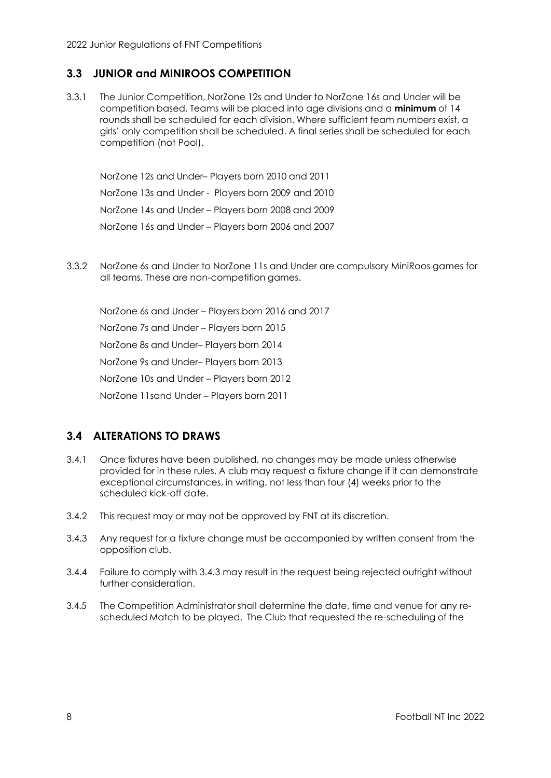# <span id="page-11-0"></span>**3.3 JUNIOR and MINIROOS COMPETITION**

3.3.1 The Junior Competition, NorZone 12s and Under to NorZone 16s and Under will be competition based. Teams will be placed into age divisions and a **minimum** of 14 rounds shall be scheduled for each division. Where sufficient team numbers exist, a girls' only competition shall be scheduled. A final series shall be scheduled for each competition (not Pool).

NorZone 12s and Under– Players born 2010 and 2011 NorZone 13s and Under - Players born 2009 and 2010 NorZone 14s and Under – Players born 2008 and 2009 NorZone 16s and Under – Players born 2006 and 2007

3.3.2 NorZone 6s and Under to NorZone 11s and Under are compulsory MiniRoos games for all teams. These are non-competition games.

NorZone 6s and Under – Players born 2016 and 2017 NorZone 7s and Under – Players born 2015 NorZone 8s and Under– Players born 2014 NorZone 9s and Under– Players born 2013 NorZone 10s and Under – Players born 2012 NorZone 11sand Under – Players born 2011

# <span id="page-11-1"></span>**3.4 ALTERATIONS TO DRAWS**

- 3.4.1 Once fixtures have been published, no changes may be made unless otherwise provided for in these rules. A club may request a fixture change if it can demonstrate exceptional circumstances, in writing, not less than four (4) weeks prior to the scheduled kick-off date.
- 3.4.2 This request may or may not be approved by FNT at its discretion.
- 3.4.3 Any request for a fixture change must be accompanied by written consent from the opposition club.
- 3.4.4 Failure to comply with 3.4.3 may result in the request being rejected outright without further consideration.
- 3.4.5 The Competition Administrator shall determine the date, time and venue for any rescheduled Match to be played. The Club that requested the re-scheduling of the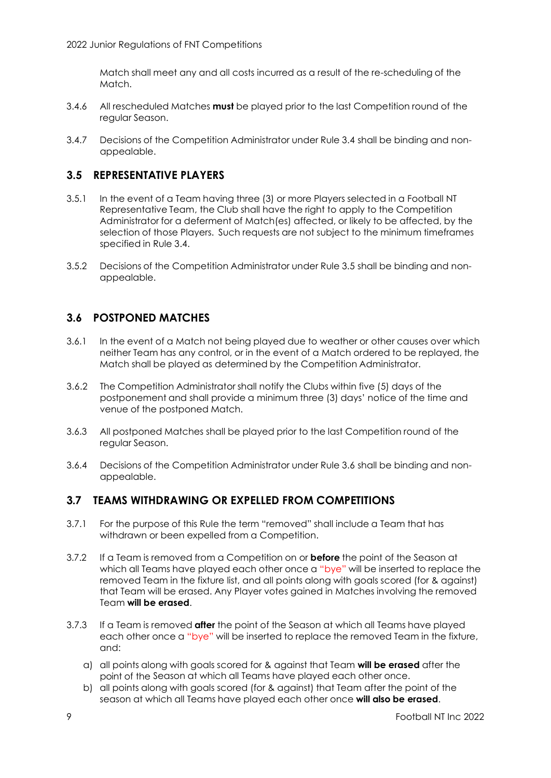Match shall meet any and all costs incurred as a result of the re-scheduling of the Match.

- 3.4.6 All rescheduled Matches **must** be played prior to the last Competition round of the regular Season.
- 3.4.7 Decisions of the Competition Administrator under Rule 3.4 shall be binding and nonappealable.

#### <span id="page-12-0"></span>**3.5 REPRESENTATIVE PLAYERS**

- 3.5.1 In the event of a Team having three (3) or more Players selected in a Football NT Representative Team, the Club shall have the right to apply to the Competition Administrator for a deferment of Match(es) affected, or likely to be affected, by the selection of those Players. Such requests are not subject to the minimum timeframes specified in Rule 3.4.
- 3.5.2 Decisions of the Competition Administrator under Rule 3.5 shall be binding and nonappealable.

# <span id="page-12-1"></span>**3.6 POSTPONED MATCHES**

- 3.6.1 In the event of a Match not being played due to weather or other causes over which neither Team has any control, or in the event of a Match ordered to be replayed, the Match shall be played as determined by the Competition Administrator.
- 3.6.2 The Competition Administrator shall notify the Clubs within five (5) days of the postponement and shall provide a minimum three (3) days' notice of the time and venue of the postponed Match.
- 3.6.3 All postponed Matches shall be played prior to the last Competition round of the regular Season.
- 3.6.4 Decisions of the Competition Administrator under Rule 3.6 shall be binding and nonappealable.

# <span id="page-12-2"></span>**3.7 TEAMS WITHDRAWING OR EXPELLED FROM COMPETITIONS**

- 3.7.1 For the purpose of this Rule the term "removed" shall include a Team that has withdrawn or been expelled from a Competition.
- 3.7.2 If a Team is removed from a Competition on or **before** the point of the Season at which all Teams have played each other once a "bye" will be inserted to replace the removed Team in the fixture list, and all points along with goals scored (for & against) that Team will be erased. Any Player votes gained in Matches involving the removed Team **will be erased**.
- 3.7.3 If a Team is removed **after** the point of the Season at which all Teams have played each other once a "bye" will be inserted to replace the removed Team in the fixture, and:
	- a) all points along with goals scored for & against that Team **will be erased** after the point of the Season at which all Teams have played each other once.
	- b) all points along with goals scored (for & against) that Team after the point of the season at which all Teams have played each other once **will also be erased**.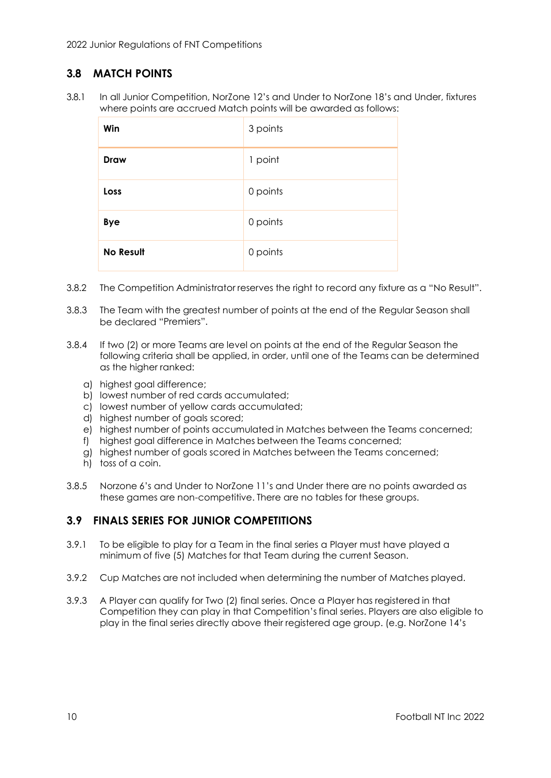# <span id="page-13-0"></span>**3.8 MATCH POINTS**

3.8.1 In all Junior Competition, NorZone 12's and Under to NorZone 18's and Under, fixtures where points are accrued Match points will be awarded as follows:

| Win              | 3 points |
|------------------|----------|
| Draw             | 1 point  |
| Loss             | 0 points |
| <b>Bye</b>       | 0 points |
| <b>No Result</b> | 0 points |

- 3.8.2 The Competition Administrator reserves the right to record any fixture as a "No Result".
- 3.8.3 The Team with the greatest number of points at the end of the Regular Season shall be declared "Premiers".
- 3.8.4 If two (2) or more Teams are level on points at the end of the Regular Season the following criteria shall be applied, in order, until one of the Teams can be determined as the higher ranked:
	- a) highest goal difference;
	- b) lowest number of red cards accumulated;
	- c) lowest number of yellow cards accumulated;
	- d) highest number of goals scored;
	- e) highest number of points accumulated in Matches between the Teams concerned;
	- f) highest goal difference in Matches between the Teams concerned;
	- g) highest number of goals scored in Matches between the Teams concerned;
	- h) toss of a coin.
- 3.8.5 Norzone 6's and Under to NorZone 11's and Under there are no points awarded as these games are non-competitive. There are no tables for these groups.

### <span id="page-13-1"></span>**3.9 FINALS SERIES FOR JUNIOR COMPETITIONS**

- 3.9.1 To be eligible to play for a Team in the final series a Player must have played a minimum of five (5) Matches for that Team during the current Season.
- 3.9.2 Cup Matches are not included when determining the number of Matches played.
- 3.9.3 A Player can qualify for Two (2) final series. Once a Player has registered in that Competition they can play in that Competition's final series. Players are also eligible to play in the final series directly above their registered age group. (e.g. NorZone 14's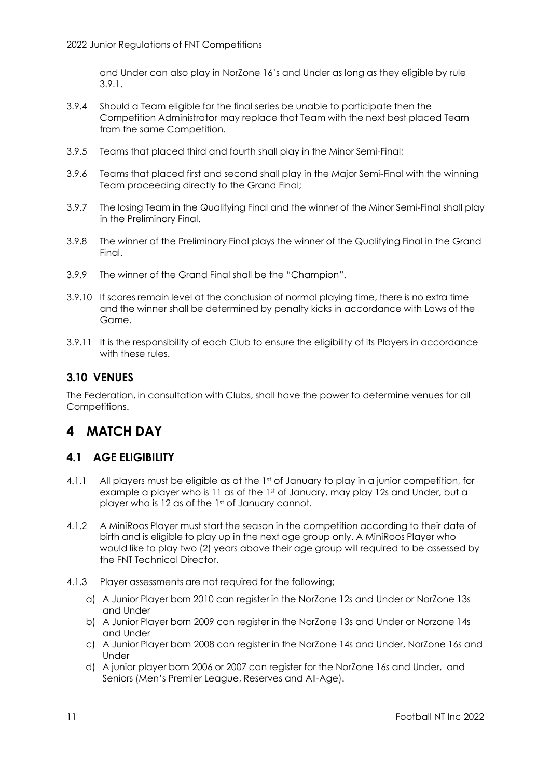and Under can also play in NorZone 16's and Under as long as they eligible by rule 3.9.1.

- 3.9.4 Should a Team eligible for the final series be unable to participate then the Competition Administrator may replace that Team with the next best placed Team from the same Competition.
- 3.9.5 Teams that placed third and fourth shall play in the Minor Semi-Final;
- 3.9.6 Teams that placed first and second shall play in the Major Semi-Final with the winning Team proceeding directly to the Grand Final;
- 3.9.7 The losing Team in the Qualifying Final and the winner of the Minor Semi-Final shall play in the Preliminary Final.
- 3.9.8 The winner of the Preliminary Final plays the winner of the Qualifying Final in the Grand Final.
- 3.9.9 The winner of the Grand Final shall be the "Champion".
- 3.9.10 If scores remain level at the conclusion of normal playing time, there is no extra time and the winner shall be determined by penalty kicks in accordance with Laws of the Game.
- 3.9.11 It is the responsibility of each Club to ensure the eligibility of its Players in accordance with these rules.

# <span id="page-14-0"></span>**3.10 VENUES**

The Federation, in consultation with Clubs, shall have the power to determine venues for all Competitions.

# <span id="page-14-1"></span>**4 MATCH DAY**

### <span id="page-14-2"></span>**4.1 AGE ELIGIBILITY**

- 4.1.1 All players must be eligible as at the 1st of January to play in a junior competition, for example a player who is 11 as of the 1st of January, may play 12s and Under, but a player who is 12 as of the 1st of January cannot.
- 4.1.2 A MiniRoos Player must start the season in the competition according to their date of birth and is eligible to play up in the next age group only. A MiniRoos Player who would like to play two (2) years above their age group will required to be assessed by the FNT Technical Director.
- 4.1.3 Player assessments are not required for the following;
	- a) A Junior Player born 2010 can register in the NorZone 12s and Under or NorZone 13s and Under
	- b) A Junior Player born 2009 can register in the NorZone 13s and Under or Norzone 14s and Under
	- c) A Junior Player born 2008 can register in the NorZone 14s and Under, NorZone 16s and Under
	- d) A junior player born 2006 or 2007 can register for the NorZone 16s and Under, and Seniors (Men's Premier League, Reserves and All-Age).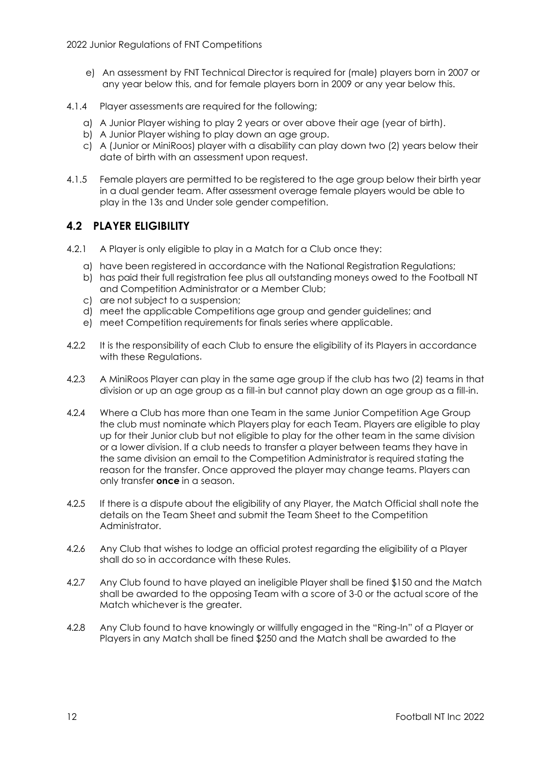- e) An assessment by FNT Technical Director is required for (male) players born in 2007 or any year below this, and for female players born in 2009 or any year below this.
- 4.1.4 Player assessments are required for the following;
	- a) A Junior Player wishing to play 2 years or over above their age (year of birth).
	- b) A Junior Player wishing to play down an age group.
	- c) A (Junior or MiniRoos) player with a disability can play down two (2) years below their date of birth with an assessment upon request.
- 4.1.5 Female players are permitted to be registered to the age group below their birth year in a dual gender team. After assessment overage female players would be able to play in the 13s and Under sole gender competition.

# <span id="page-15-0"></span>**4.2 PLAYER ELIGIBILITY**

- 4.2.1 A Player is only eligible to play in a Match for a Club once they:
	- a) have been registered in accordance with the National Registration Regulations;
	- b) has paid their full registration fee plus all outstanding moneys owed to the Football NT and Competition Administrator or a Member Club;
	- c) are not subject to a suspension;
	- d) meet the applicable Competitions age group and gender guidelines; and
	- e) meet Competition requirements for finals series where applicable.
- 4.2.2 It is the responsibility of each Club to ensure the eligibility of its Players in accordance with these Regulations.
- 4.2.3 A MiniRoos Player can play in the same age group if the club has two (2) teams in that division or up an age group as a fill-in but cannot play down an age group as a fill-in.
- 4.2.4 Where a Club has more than one Team in the same Junior Competition Age Group the club must nominate which Players play for each Team. Players are eligible to play up for their Junior club but not eligible to play for the other team in the same division or a lower division. If a club needs to transfer a player between teams they have in the same division an email to the Competition Administrator is required stating the reason for the transfer. Once approved the player may change teams. Players can only transfer **once** in a season.
- 4.2.5 If there is a dispute about the eligibility of any Player, the Match Official shall note the details on the Team Sheet and submit the Team Sheet to the Competition Administrator.
- 4.2.6 Any Club that wishes to lodge an official protest regarding the eligibility of a Player shall do so in accordance with these Rules.
- 4.2.7 Any Club found to have played an ineligible Player shall be fined \$150 and the Match shall be awarded to the opposing Team with a score of 3-0 or the actual score of the Match whichever is the greater.
- 4.2.8 Any Club found to have knowingly or willfully engaged in the "Ring-In" of a Player or Players in any Match shall be fined \$250 and the Match shall be awarded to the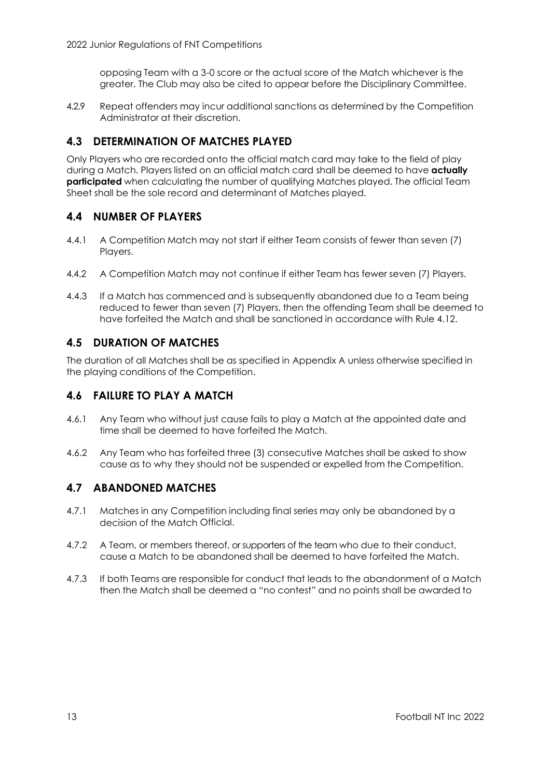opposing Team with a 3-0 score or the actual score of the Match whichever is the greater. The Club may also be cited to appear before the Disciplinary Committee.

4.2.9 Repeat offenders may incur additional sanctions as determined by the Competition Administrator at their discretion.

# <span id="page-16-0"></span>**4.3 DETERMINATION OF MATCHES PLAYED**

Only Players who are recorded onto the official match card may take to the field of play during a Match. Players listed on an official match card shall be deemed to have **actually participated** when calculating the number of qualifying Matches played. The official Team Sheet shall be the sole record and determinant of Matches played.

# <span id="page-16-1"></span>**4.4 NUMBER OF PLAYERS**

- 4.4.1 A Competition Match may not start if either Team consists of fewer than seven (7) Players.
- 4.4.2 A Competition Match may not continue if either Team has fewer seven (7) Players.
- 4.4.3 If a Match has commenced and is subsequently abandoned due to a Team being reduced to fewer than seven (7) Players, then the offending Team shall be deemed to have forfeited the Match and shall be sanctioned in accordance with Rule 4.12.

# <span id="page-16-2"></span>**4.5 DURATION OF MATCHES**

The duration of all Matches shall be as specified in Appendix A unless otherwise specified in the playing conditions of the Competition.

# <span id="page-16-3"></span>**4.6 FAILURE TO PLAY A MATCH**

- 4.6.1 Any Team who without just cause fails to play a Match at the appointed date and time shall be deemed to have forfeited the Match.
- 4.6.2 Any Team who has forfeited three (3) consecutive Matches shall be asked to show cause as to why they should not be suspended or expelled from the Competition.

### <span id="page-16-4"></span>**4.7 ABANDONED MATCHES**

- 4.7.1 Matches in any Competition including final series may only be abandoned by a decision of the Match Official.
- 4.7.2 A Team, or members thereof, or supporters of the team who due to their conduct, cause a Match to be abandoned shall be deemed to have forfeited the Match.
- 4.7.3 If both Teams are responsible for conduct that leads to the abandonment of a Match then the Match shall be deemed a "no contest" and no points shall be awarded to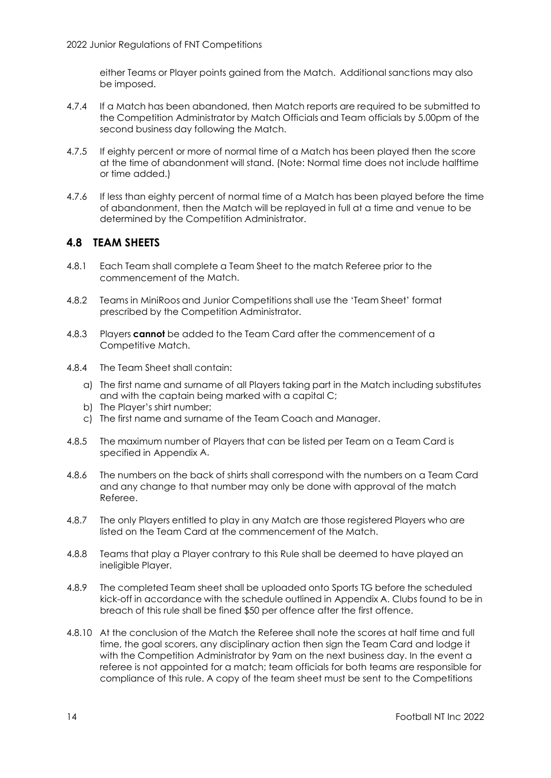either Teams or Player points gained from the Match. Additional sanctions may also be imposed.

- 4.7.4 If a Match has been abandoned, then Match reports are required to be submitted to the Competition Administrator by Match Officials and Team officials by 5.00pm of the second business day following the Match.
- 4.7.5 If eighty percent or more of normal time of a Match has been played then the score at the time of abandonment will stand. (Note: Normal time does not include halftime or time added.)
- 4.7.6 If less than eighty percent of normal time of a Match has been played before the time of abandonment, then the Match will be replayed in full at a time and venue to be determined by the Competition Administrator.

### <span id="page-17-0"></span>**4.8 TEAM SHEETS**

- 4.8.1 Each Team shall complete a Team Sheet to the match Referee prior to the commencement of the Match.
- 4.8.2 Teams in MiniRoos and Junior Competitions shall use the 'Team Sheet' format prescribed by the Competition Administrator.
- 4.8.3 Players **cannot** be added to the Team Card after the commencement of a Competitive Match.
- 4.8.4 The Team Sheet shall contain:
	- a) The first name and surname of all Players taking part in the Match including substitutes and with the captain being marked with a capital C;
	- b) The Player's shirt number;
	- c) The first name and surname of the Team Coach and Manager.
- 4.8.5 The maximum number of Players that can be listed per Team on a Team Card is specified in Appendix A.
- 4.8.6 The numbers on the back of shirts shall correspond with the numbers on a Team Card and any change to that number may only be done with approval of the match Referee.
- 4.8.7 The only Players entitled to play in any Match are those registered Players who are listed on the Team Card at the commencement of the Match.
- 4.8.8 Teams that play a Player contrary to this Rule shall be deemed to have played an ineligible Player.
- 4.8.9 The completed Team sheet shall be uploaded onto Sports TG before the scheduled kick-off in accordance with the schedule outlined in Appendix A. Clubs found to be in breach of this rule shall be fined \$50 per offence after the first offence.
- 4.8.10 At the conclusion of the Match the Referee shall note the scores at half time and full time, the goal scorers, any disciplinary action then sign the Team Card and lodge it with the Competition Administrator by 9am on the next business day. In the event a referee is not appointed for a match; team officials for both teams are responsible for compliance of this rule. A copy of the team sheet must be sent to the Competitions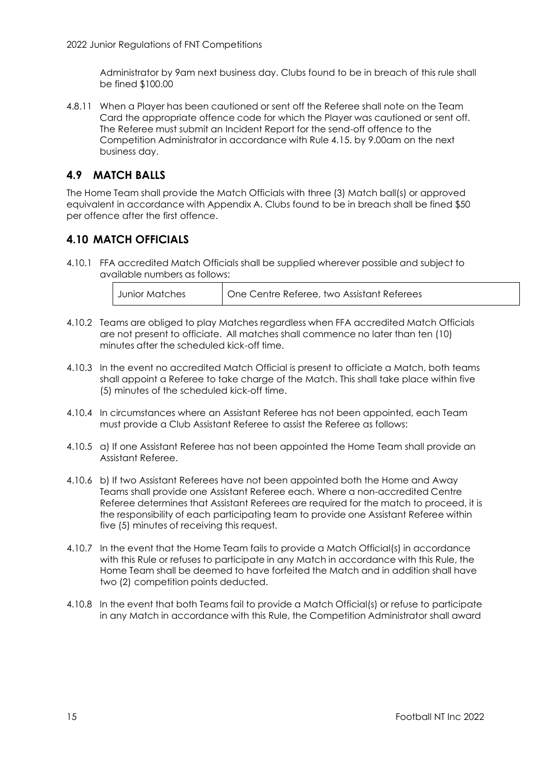Administrator by 9am next business day. Clubs found to be in breach of this rule shall be fined \$100.00

4.8.11 When a Player has been cautioned or sent off the Referee shall note on the Team Card the appropriate offence code for which the Player was cautioned or sent off. The Referee must submit an Incident Report for the send-off offence to the Competition Administrator in accordance with Rule 4.15. by 9.00am on the next business day.

# <span id="page-18-0"></span>**4.9 MATCH BALLS**

The Home Team shall provide the Match Officials with three (3) Match ball(s) or approved equivalent in accordance with Appendix A. Clubs found to be in breach shall be fined \$50 per offence after the first offence.

# <span id="page-18-1"></span>**4.10 MATCH OFFICIALS**

4.10.1 FFA accredited Match Officials shall be supplied wherever possible and subject to available numbers as follows:

| Junior Matches | One Centre Referee, two Assistant Referees |
|----------------|--------------------------------------------|
|----------------|--------------------------------------------|

- 4.10.2 Teams are obliged to play Matches regardless when FFA accredited Match Officials are not present to officiate. All matches shall commence no later than ten (10) minutes after the scheduled kick-off time.
- 4.10.3 In the event no accredited Match Official is present to officiate a Match, both teams shall appoint a Referee to take charge of the Match. This shall take place within five (5) minutes of the scheduled kick-off time.
- 4.10.4 In circumstances where an Assistant Referee has not been appointed, each Team must provide a Club Assistant Referee to assist the Referee as follows:
- 4.10.5 a) If one Assistant Referee has not been appointed the Home Team shall provide an Assistant Referee.
- 4.10.6 b) If two Assistant Referees have not been appointed both the Home and Away Teams shall provide one Assistant Referee each. Where a non-accredited Centre Referee determines that Assistant Referees are required for the match to proceed, it is the responsibility of each participating team to provide one Assistant Referee within five (5) minutes of receiving this request.
- 4.10.7 In the event that the Home Team fails to provide a Match Official(s) in accordance with this Rule or refuses to participate in any Match in accordance with this Rule, the Home Team shall be deemed to have forfeited the Match and in addition shall have two (2) competition points deducted.
- 4.10.8 In the event that both Teams fail to provide a Match Official(s) or refuse to participate in any Match in accordance with this Rule, the Competition Administrator shall award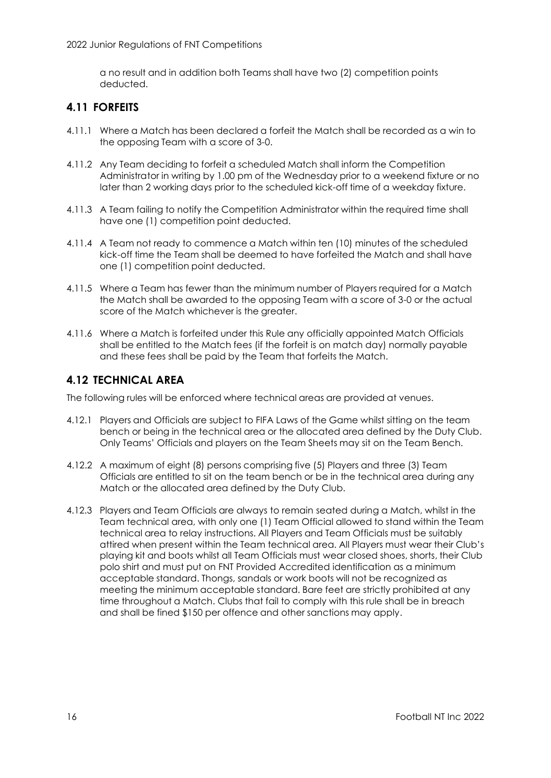a no result and in addition both Teams shall have two (2) competition points deducted.

# <span id="page-19-0"></span>**4.11 FORFEITS**

- 4.11.1 Where a Match has been declared a forfeit the Match shall be recorded as a win to the opposing Team with a score of 3-0.
- 4.11.2 Any Team deciding to forfeit a scheduled Match shall inform the Competition Administrator in writing by 1.00 pm of the Wednesday prior to a weekend fixture or no later than 2 working days prior to the scheduled kick-off time of a weekday fixture.
- 4.11.3 A Team failing to notify the Competition Administrator within the required time shall have one (1) competition point deducted.
- 4.11.4 A Team not ready to commence a Match within ten (10) minutes of the scheduled kick-off time the Team shall be deemed to have forfeited the Match and shall have one (1) competition point deducted.
- 4.11.5 Where a Team has fewer than the minimum number of Players required for a Match the Match shall be awarded to the opposing Team with a score of 3-0 or the actual score of the Match whichever is the greater.
- 4.11.6 Where a Match is forfeited under this Rule any officially appointed Match Officials shall be entitled to the Match fees (if the forfeit is on match day) normally payable and these fees shall be paid by the Team that forfeits the Match.

# <span id="page-19-1"></span>**4.12 TECHNICAL AREA**

The following rules will be enforced where technical areas are provided at venues.

- 4.12.1 Players and Officials are subject to FIFA Laws of the Game whilst sitting on the team bench or being in the technical area or the allocated area defined by the Duty Club. Only Teams' Officials and players on the Team Sheets may sit on the Team Bench.
- 4.12.2 A maximum of eight (8) persons comprising five (5) Players and three (3) Team Officials are entitled to sit on the team bench or be in the technical area during any Match or the allocated area defined by the Duty Club.
- 4.12.3 Players and Team Officials are always to remain seated during a Match, whilst in the Team technical area, with only one (1) Team Official allowed to stand within the Team technical area to relay instructions. All Players and Team Officials must be suitably attired when present within the Team technical area. All Players must wear their Club's playing kit and boots whilst all Team Officials must wear closed shoes, shorts, their Club polo shirt and must put on FNT Provided Accredited identification as a minimum acceptable standard. Thongs, sandals or work boots will not be recognized as meeting the minimum acceptable standard. Bare feet are strictly prohibited at any time throughout a Match. Clubs that fail to comply with this rule shall be in breach and shall be fined \$150 per offence and other sanctions may apply.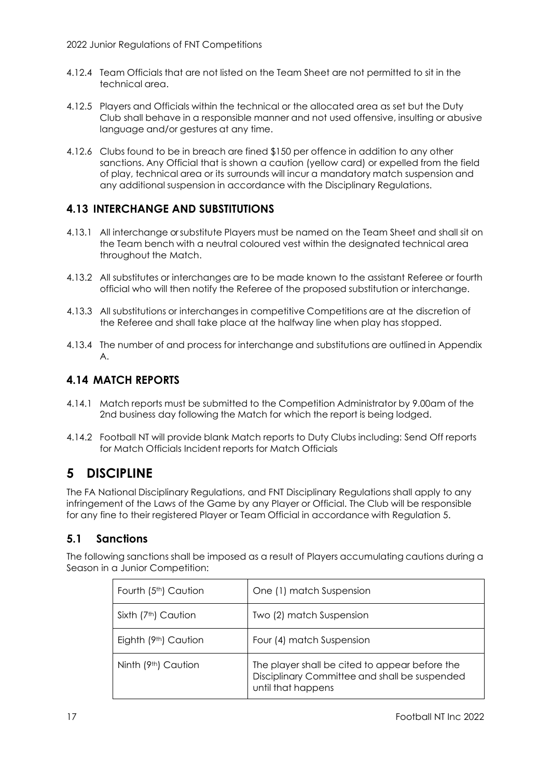- 4.12.4 Team Officials that are not listed on the Team Sheet are not permitted to sit in the technical area.
- 4.12.5 Players and Officials within the technical or the allocated area as set but the Duty Club shall behave in a responsible manner and not used offensive, insulting or abusive language and/or gestures at any time.
- 4.12.6 Clubs found to be in breach are fined \$150 per offence in addition to any other sanctions. Any Official that is shown a caution (yellow card) or expelled from the field of play, technical area or its surrounds will incur a mandatory match suspension and any additional suspension in accordance with the Disciplinary Regulations.

# <span id="page-20-0"></span>**4.13 INTERCHANGE AND SUBSTITUTIONS**

- 4.13.1 All interchange or substitute Players must be named on the Team Sheet and shall sit on the Team bench with a neutral coloured vest within the designated technical area throughout the Match.
- 4.13.2 All substitutes or interchanges are to be made known to the assistant Referee or fourth official who will then notify the Referee of the proposed substitution or interchange.
- 4.13.3 All substitutions or interchanges in competitive Competitions are at the discretion of the Referee and shall take place at the halfway line when play has stopped.
- 4.13.4 The number of and process for interchange and substitutions are outlined in Appendix A.

# <span id="page-20-1"></span>**4.14 MATCH REPORTS**

- 4.14.1 Match reports must be submitted to the Competition Administrator by 9.00am of the 2nd business day following the Match for which the report is being lodged.
- 4.14.2 Football NT will provide blank Match reports to Duty Clubs including: Send Off reports for Match Officials Incident reports for Match Officials

# <span id="page-20-2"></span>**5 DISCIPLINE**

The FA National Disciplinary Regulations, and FNT Disciplinary Regulations shall apply to any infringement of the Laws of the Game by any Player or Official. The Club will be responsible for any fine to their registered Player or Team Official in accordance with Regulation 5.

# <span id="page-20-3"></span>**5.1 Sanctions**

The following sanctions shall be imposed as a result of Players accumulating cautions during a Season in a Junior Competition:

| Fourth (5 <sup>th</sup> ) Caution | One (1) match Suspension                                                                                              |
|-----------------------------------|-----------------------------------------------------------------------------------------------------------------------|
| Sixth (7 <sup>th</sup> ) Caution  | Two (2) match Suspension                                                                                              |
| Eighth (9th) Caution              | Four (4) match Suspension                                                                                             |
| Ninth (9th) Caution               | The player shall be cited to appear before the<br>Disciplinary Committee and shall be suspended<br>until that happens |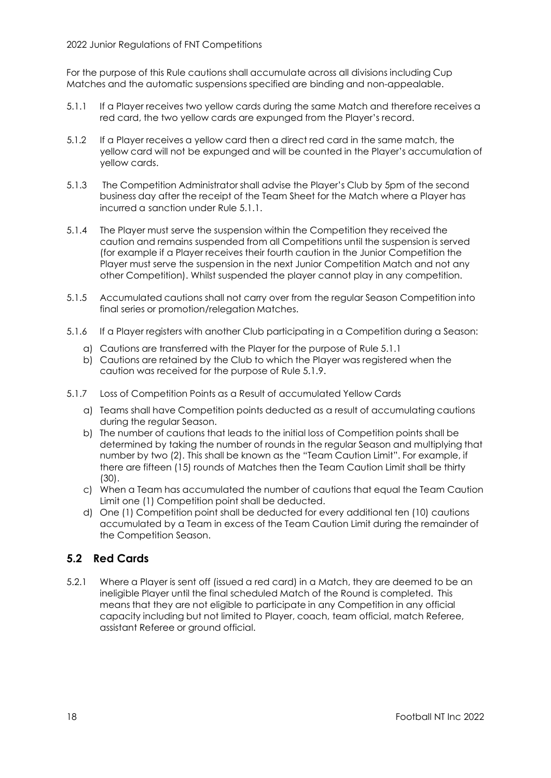#### 2022 Junior Regulations of FNT Competitions

For the purpose of this Rule cautions shall accumulate across all divisions including Cup Matches and the automatic suspensions specified are binding and non-appealable.

- 5.1.1 If a Player receives two yellow cards during the same Match and therefore receives a red card, the two yellow cards are expunged from the Player's record.
- 5.1.2 If a Player receives a yellow card then a direct red card in the same match, the yellow card will not be expunged and will be counted in the Player's accumulation of yellow cards.
- 5.1.3 The Competition Administrator shall advise the Player's Club by 5pm of the second business day after the receipt of the Team Sheet for the Match where a Player has incurred a sanction under Rule 5.1.1.
- 5.1.4 The Player must serve the suspension within the Competition they received the caution and remains suspended from all Competitions until the suspension is served (for example if a Player receives their fourth caution in the Junior Competition the Player must serve the suspension in the next Junior Competition Match and not any other Competition). Whilst suspended the player cannot play in any competition.
- 5.1.5 Accumulated cautions shall not carry over from the regular Season Competition into final series or promotion/relegation Matches.
- 5.1.6 If a Player registers with another Club participating in a Competition during a Season:
	- a) Cautions are transferred with the Player for the purpose of Rule 5.1.1
	- b) Cautions are retained by the Club to which the Player was registered when the caution was received for the purpose of Rule 5.1.9.
- 5.1.7 Loss of Competition Points as a Result of accumulated Yellow Cards
	- a) Teams shall have Competition points deducted as a result of accumulating cautions during the regular Season.
	- b) The number of cautions that leads to the initial loss of Competition points shall be determined by taking the number of rounds in the regular Season and multiplying that number by two (2). This shall be known as the "Team Caution Limit". For example, if there are fifteen (15) rounds of Matches then the Team Caution Limit shall be thirty (30).
	- c) When a Team has accumulated the number of cautions that equal the Team Caution Limit one (1) Competition point shall be deducted.
	- d) One (1) Competition point shall be deducted for every additional ten (10) cautions accumulated by a Team in excess of the Team Caution Limit during the remainder of the Competition Season.

# <span id="page-21-0"></span>**5.2 Red Cards**

5.2.1 Where a Player is sent off (issued a red card) in a Match, they are deemed to be an ineligible Player until the final scheduled Match of the Round is completed. This means that they are not eligible to participate in any Competition in any official capacity including but not limited to Player, coach, team official, match Referee, assistant Referee or ground official.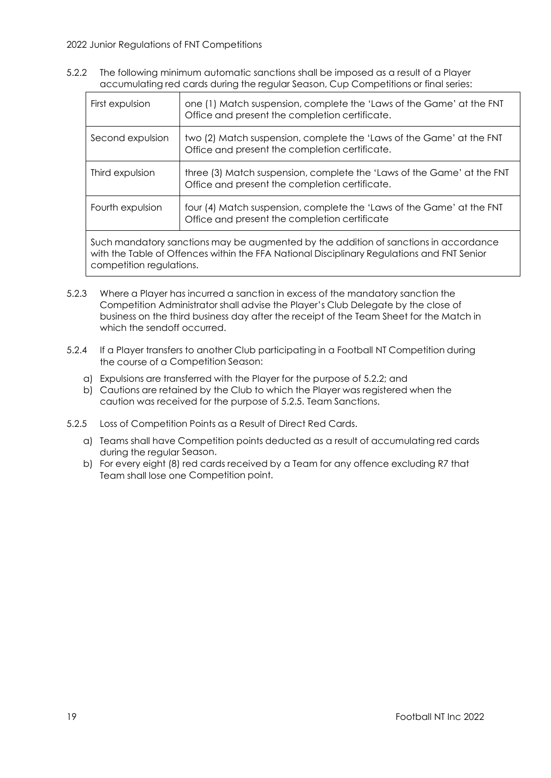5.2.2 The following minimum automatic sanctions shall be imposed as a result of a Player accumulating red cards during the regular Season, Cup Competitions or final series:

| First expulsion                                                                                                                                                                                                | one (1) Match suspension, complete the 'Laws of the Game' at the FNT<br>Office and present the completion certificate.   |  |  |  |  |
|----------------------------------------------------------------------------------------------------------------------------------------------------------------------------------------------------------------|--------------------------------------------------------------------------------------------------------------------------|--|--|--|--|
| Second expulsion                                                                                                                                                                                               | two (2) Match suspension, complete the 'Laws of the Game' at the FNT<br>Office and present the completion certificate.   |  |  |  |  |
| Third expulsion                                                                                                                                                                                                | three (3) Match suspension, complete the 'Laws of the Game' at the FNT<br>Office and present the completion certificate. |  |  |  |  |
| Fourth expulsion                                                                                                                                                                                               | four (4) Match suspension, complete the 'Laws of the Game' at the FNT<br>Office and present the completion certificate   |  |  |  |  |
| Such mandatory sanctions may be augmented by the addition of sanctions in accordance<br>with the Table of Offences within the FFA National Disciplinary Regulations and FNT Senior<br>competition regulations. |                                                                                                                          |  |  |  |  |

- 5.2.3 Where a Player has incurred a sanction in excess of the mandatory sanction the Competition Administrator shall advise the Player's Club Delegate by the close of business on the third business day after the receipt of the Team Sheet for the Match in which the sendoff occurred.
- 5.2.4 If a Player transfers to another Club participating in a Football NT Competition during the course of a Competition Season:
	- a) Expulsions are transferred with the Player for the purpose of 5.2.2; and
	- b) Cautions are retained by the Club to which the Player was registered when the caution was received for the purpose of 5.2.5. Team Sanctions.
- 5.2.5 Loss of Competition Points as a Result of Direct Red Cards.
	- a) Teams shall have Competition points deducted as a result of accumulating red cards during the regular Season.
	- b) For every eight (8) red cards received by a Team for any offence excluding R7 that Team shall lose one Competition point.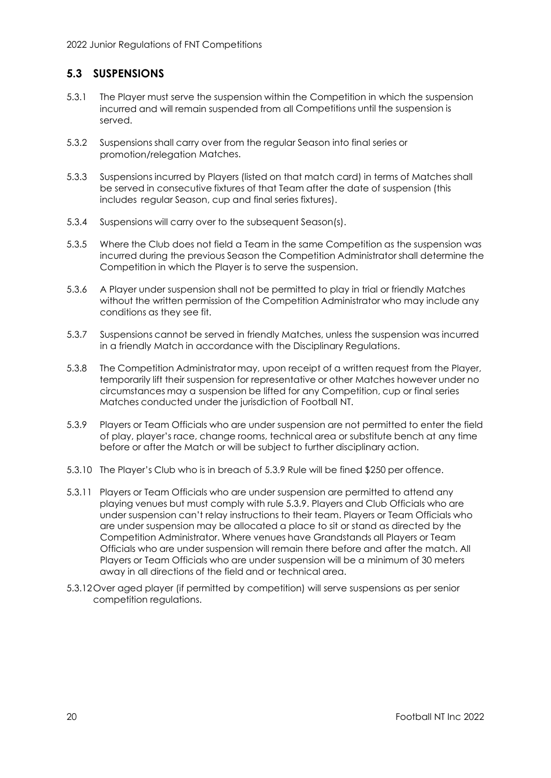# <span id="page-23-0"></span>**5.3 SUSPENSIONS**

- 5.3.1 The Player must serve the suspension within the Competition in which the suspension incurred and will remain suspended from all Competitions until the suspension is served.
- 5.3.2 Suspensions shall carry over from the regular Season into final series or promotion/relegation Matches.
- 5.3.3 Suspensions incurred by Players (listed on that match card) in terms of Matches shall be served in consecutive fixtures of that Team after the date of suspension (this includes regular Season, cup and final series fixtures).
- 5.3.4 Suspensions will carry over to the subsequent Season(s).
- 5.3.5 Where the Club does not field a Team in the same Competition as the suspension was incurred during the previous Season the Competition Administrator shall determine the Competition in which the Player is to serve the suspension.
- 5.3.6 A Player under suspension shall not be permitted to play in trial or friendly Matches without the written permission of the Competition Administrator who may include any conditions as they see fit.
- 5.3.7 Suspensions cannot be served in friendly Matches, unless the suspension was incurred in a friendly Match in accordance with the Disciplinary Regulations.
- 5.3.8 The Competition Administrator may, upon receipt of a written request from the Player, temporarily lift their suspension for representative or other Matches however under no circumstances may a suspension be lifted for any Competition, cup or final series Matches conducted under the jurisdiction of Football NT.
- 5.3.9 Players or Team Officials who are under suspension are not permitted to enter the field of play, player's race, change rooms, technical area or substitute bench at any time before or after the Match or will be subject to further disciplinary action.
- 5.3.10 The Player's Club who is in breach of 5.3.9 Rule will be fined \$250 per offence.
- 5.3.11 Players or Team Officials who are under suspension are permitted to attend any playing venues but must comply with rule 5.3.9. Players and Club Officials who are under suspension can't relay instructions to their team. Players or Team Officials who are under suspension may be allocated a place to sit or stand as directed by the Competition Administrator. Where venues have Grandstands all Players or Team Officials who are under suspension will remain there before and after the match. All Players or Team Officials who are under suspension will be a minimum of 30 meters away in all directions of the field and or technical area.
- 5.3.12Over aged player (if permitted by competition) will serve suspensions as per senior competition regulations.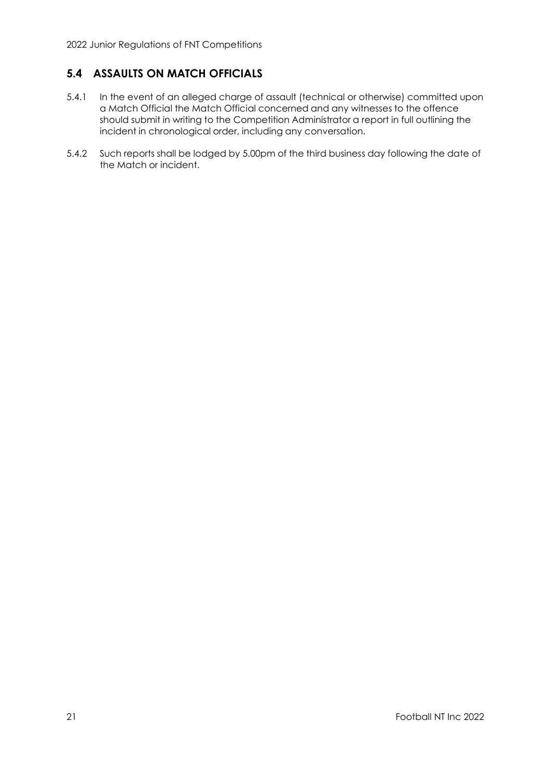# <span id="page-24-0"></span>**5.4 ASSAULTS ON MATCH OFFICIALS**

- 5.4.1 In the event of an alleged charge of assault (technical or otherwise) committed upon a Match Official the Match Official concerned and any witnesses to the offence should submit in writing to the Competition Administrator a report in full outlining the incident in chronological order, including any conversation.
- 5.4.2 Such reports shall be lodged by 5.00pm of the third business day following the date of the Match or incident.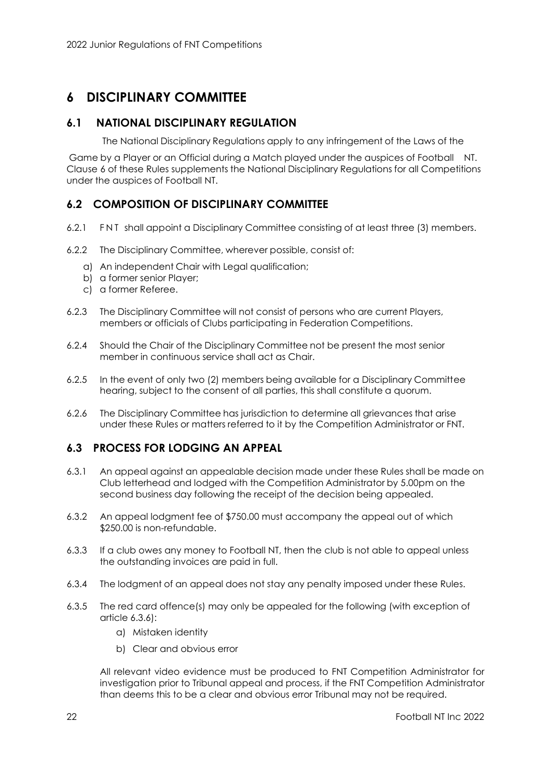# <span id="page-25-0"></span>**6 DISCIPLINARY COMMITTEE**

### **6.1 NATIONAL DISCIPLINARY REGULATION**

<span id="page-25-1"></span>The National Disciplinary Regulations apply to any infringement of the Laws of the

Game by a Player or an Official during a Match played under the auspices of Football NT. Clause 6 of these Rules supplements the National Disciplinary Regulations for all Competitions under the auspices of Football NT.

# <span id="page-25-2"></span>**6.2 COMPOSITION OF DISCIPLINARY COMMITTEE**

- 6.2.1 F NT shall appoint a Disciplinary Committee consisting of at least three (3) members.
- 6.2.2 The Disciplinary Committee, wherever possible, consist of:
	- a) An independent Chair with Legal qualification;
	- b) a former senior Player;
	- c) a former Referee.
- 6.2.3 The Disciplinary Committee will not consist of persons who are current Players, members or officials of Clubs participating in Federation Competitions.
- 6.2.4 Should the Chair of the Disciplinary Committee not be present the most senior member in continuous service shall act as Chair.
- 6.2.5 In the event of only two (2) members being available for a Disciplinary Committee hearing, subject to the consent of all parties, this shall constitute a quorum.
- 6.2.6 The Disciplinary Committee has jurisdiction to determine all grievances that arise under these Rules or matters referred to it by the Competition Administrator or FNT.

### <span id="page-25-3"></span>**6.3 PROCESS FOR LODGING AN APPEAL**

- 6.3.1 An appeal against an appealable decision made under these Rules shall be made on Club letterhead and lodged with the Competition Administrator by 5.00pm on the second business day following the receipt of the decision being appealed.
- 6.3.2 An appeal lodgment fee of \$750.00 must accompany the appeal out of which \$250.00 is non-refundable.
- 6.3.3 If a club owes any money to Football NT, then the club is not able to appeal unless the outstanding invoices are paid in full.
- 6.3.4 The lodgment of an appeal does not stay any penalty imposed under these Rules.
- 6.3.5 The red card offence(s) may only be appealed for the following (with exception of article 6.3.6):
	- a) Mistaken identity
	- b) Clear and obvious error

All relevant video evidence must be produced to FNT Competition Administrator for investigation prior to Tribunal appeal and process, if the FNT Competition Administrator than deems this to be a clear and obvious error Tribunal may not be required.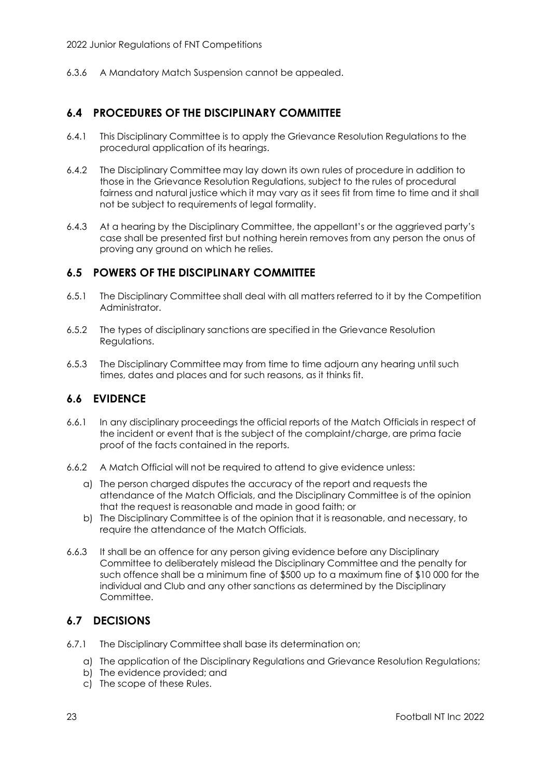6.3.6 A Mandatory Match Suspension cannot be appealed.

# <span id="page-26-0"></span>**6.4 PROCEDURES OF THE DISCIPLINARY COMMITTEE**

- 6.4.1 This Disciplinary Committee is to apply the Grievance Resolution Regulations to the procedural application of its hearings.
- 6.4.2 The Disciplinary Committee may lay down its own rules of procedure in addition to those in the Grievance Resolution Regulations, subject to the rules of procedural fairness and natural justice which it may vary as it sees fit from time to time and it shall not be subject to requirements of legal formality.
- 6.4.3 At a hearing by the Disciplinary Committee, the appellant's or the aggrieved party's case shall be presented first but nothing herein removes from any person the onus of proving any ground on which he relies.

# <span id="page-26-1"></span>**6.5 POWERS OF THE DISCIPLINARY COMMITTEE**

- 6.5.1 The Disciplinary Committee shall deal with all matters referred to it by the Competition Administrator.
- 6.5.2 The types of disciplinary sanctions are specified in the Grievance Resolution Regulations.
- 6.5.3 The Disciplinary Committee may from time to time adjourn any hearing until such times, dates and places and for such reasons, as it thinks fit.

### <span id="page-26-2"></span>**6.6 EVIDENCE**

- 6.6.1 In any disciplinary proceedings the official reports of the Match Officials in respect of the incident or event that is the subject of the complaint/charge, are prima facie proof of the facts contained in the reports.
- 6.6.2 A Match Official will not be required to attend to give evidence unless:
	- a) The person charged disputes the accuracy of the report and requests the attendance of the Match Officials, and the Disciplinary Committee is of the opinion that the request is reasonable and made in good faith; or
	- b) The Disciplinary Committee is of the opinion that it is reasonable, and necessary, to require the attendance of the Match Officials.
- 6.6.3 It shall be an offence for any person giving evidence before any Disciplinary Committee to deliberately mislead the Disciplinary Committee and the penalty for such offence shall be a minimum fine of \$500 up to a maximum fine of \$10 000 for the individual and Club and any other sanctions as determined by the Disciplinary Committee.

### <span id="page-26-3"></span>**6.7 DECISIONS**

- 6.7.1 The Disciplinary Committee shall base its determination on;
	- a) The application of the Disciplinary Regulations and Grievance Resolution Regulations;
	- b) The evidence provided; and
	- c) The scope of these Rules.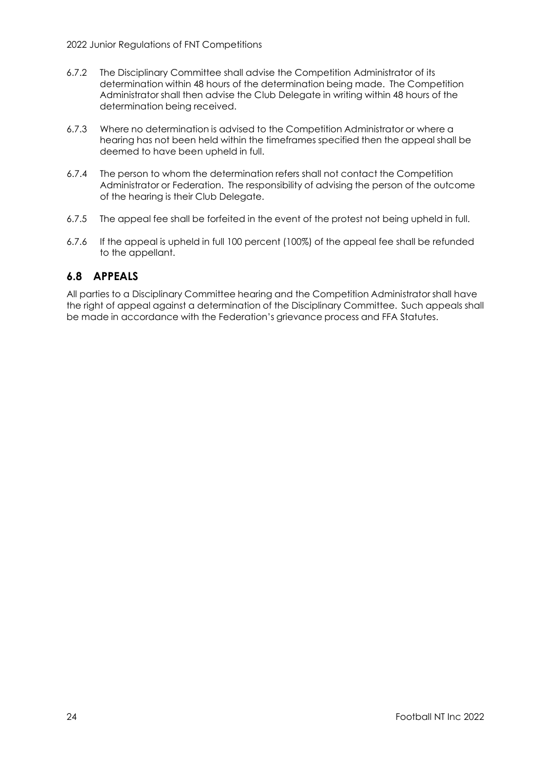- 6.7.2 The Disciplinary Committee shall advise the Competition Administrator of its determination within 48 hours of the determination being made. The Competition Administrator shall then advise the Club Delegate in writing within 48 hours of the determination being received.
- 6.7.3 Where no determination is advised to the Competition Administrator or where a hearing has not been held within the timeframes specified then the appeal shall be deemed to have been upheld in full.
- 6.7.4 The person to whom the determination refers shall not contact the Competition Administrator or Federation. The responsibility of advising the person of the outcome of the hearing is their Club Delegate.
- 6.7.5 The appeal fee shall be forfeited in the event of the protest not being upheld in full.
- 6.7.6 If the appeal is upheld in full 100 percent (100%) of the appeal fee shall be refunded to the appellant.

### <span id="page-27-0"></span>**6.8 APPEALS**

All parties to a Disciplinary Committee hearing and the Competition Administrator shall have the right of appeal against a determination of the Disciplinary Committee. Such appeals shall be made in accordance with the Federation's grievance process and FFA Statutes.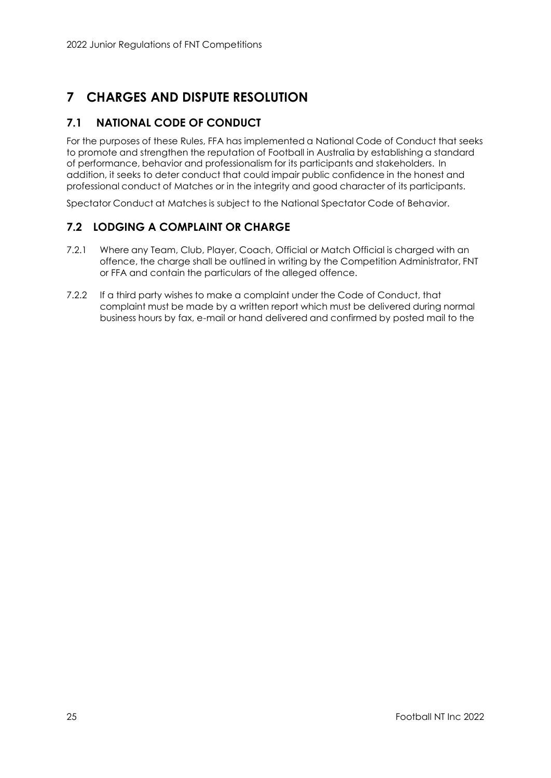# <span id="page-28-0"></span>**7 CHARGES AND DISPUTE RESOLUTION**

# <span id="page-28-1"></span>**7.1 NATIONAL CODE OF CONDUCT**

For the purposes of these Rules, FFA has implemented a National Code of Conduct that seeks to promote and strengthen the reputation of Football in Australia by establishing a standard of performance, behavior and professionalism for its participants and stakeholders. In addition, it seeks to deter conduct that could impair public confidence in the honest and professional conduct of Matches or in the integrity and good character of its participants.

Spectator Conduct at Matches is subject to the National Spectator Code of Behavior.

# <span id="page-28-2"></span>**7.2 LODGING A COMPLAINT OR CHARGE**

- 7.2.1 Where any Team, Club, Player, Coach, Official or Match Official is charged with an offence, the charge shall be outlined in writing by the Competition Administrator, FNT or FFA and contain the particulars of the alleged offence.
- 7.2.2 If a third party wishes to make a complaint under the Code of Conduct, that complaint must be made by a written report which must be delivered during normal business hours by fax, e-mail or hand delivered and confirmed by posted mail to the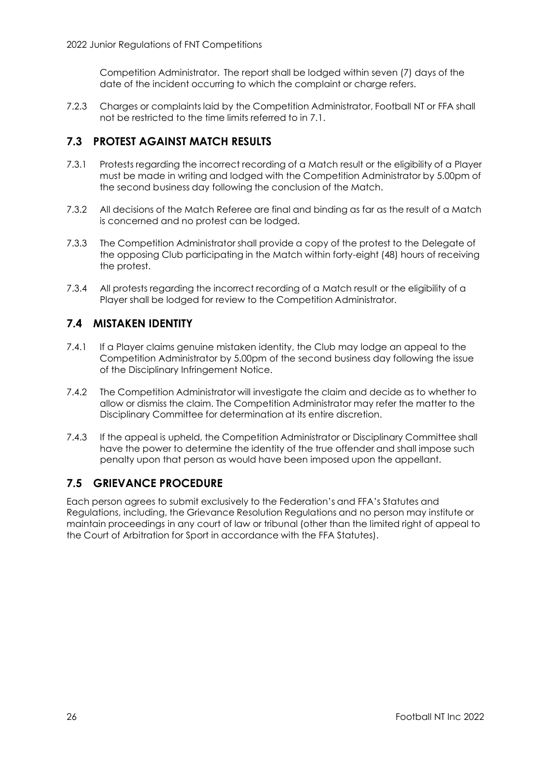Competition Administrator. The report shall be lodged within seven (7) days of the date of the incident occurring to which the complaint or charge refers.

7.2.3 Charges or complaints laid by the Competition Administrator, Football NT or FFA shall not be restricted to the time limits referred to in 7.1.

# <span id="page-29-0"></span>**7.3 PROTEST AGAINST MATCH RESULTS**

- 7.3.1 Protests regarding the incorrect recording of a Match result or the eligibility of a Player must be made in writing and lodged with the Competition Administrator by 5.00pm of the second business day following the conclusion of the Match.
- 7.3.2 All decisions of the Match Referee are final and binding as far as the result of a Match is concerned and no protest can be lodged.
- 7.3.3 The Competition Administrator shall provide a copy of the protest to the Delegate of the opposing Club participating in the Match within forty-eight (48) hours of receiving the protest.
- 7.3.4 All protests regarding the incorrect recording of a Match result or the eligibility of a Player shall be lodged for review to the Competition Administrator.

# <span id="page-29-1"></span>**7.4 MISTAKEN IDENTITY**

- 7.4.1 If a Player claims genuine mistaken identity, the Club may lodge an appeal to the Competition Administrator by 5.00pm of the second business day following the issue of the Disciplinary Infringement Notice.
- 7.4.2 The Competition Administrator will investigate the claim and decide as to whether to allow or dismiss the claim. The Competition Administrator may refer the matter to the Disciplinary Committee for determination at its entire discretion.
- 7.4.3 If the appeal is upheld, the Competition Administrator or Disciplinary Committee shall have the power to determine the identity of the true offender and shall impose such penalty upon that person as would have been imposed upon the appellant.

### <span id="page-29-2"></span>**7.5 GRIEVANCE PROCEDURE**

Each person agrees to submit exclusively to the Federation's and FFA's Statutes and Regulations, including, the Grievance Resolution Regulations and no person may institute or maintain proceedings in any court of law or tribunal (other than the limited right of appeal to the Court of Arbitration for Sport in accordance with the FFA Statutes).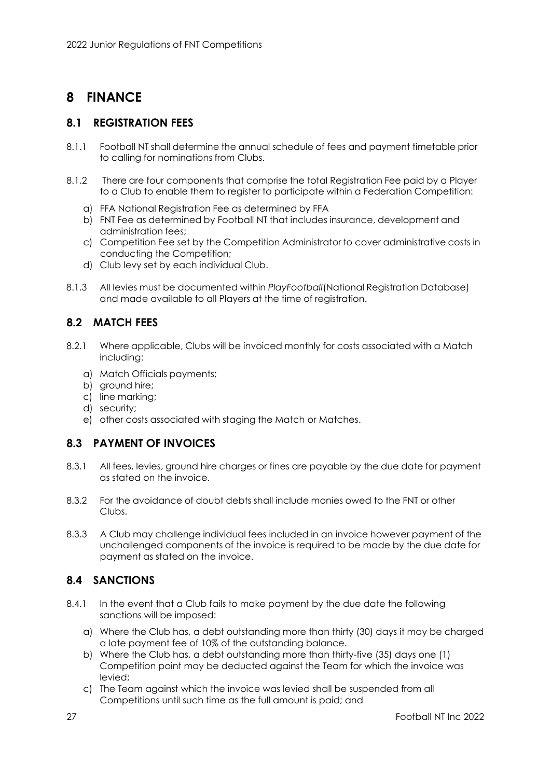# <span id="page-30-0"></span>**8 FINANCE**

### <span id="page-30-1"></span>**8.1 REGISTRATION FEES**

- 8.1.1 Football NT shall determine the annual schedule of fees and payment timetable prior to calling for nominations from Clubs.
- 8.1.2 There are four components that comprise the total Registration Fee paid by a Player to a Club to enable them to register to participate within a Federation Competition:
	- a) FFA National Registration Fee as determined by FFA
	- b) FNT Fee as determined by Football NT that includes insurance, development and administration fees;
	- c) Competition Fee set by the Competition Administrator to cover administrative costs in conducting the Competition;
	- d) Club levy set by each individual Club.
- 8.1.3 All levies must be documented within *PlayFootball*(National Registration Database) and made available to all Players at the time of registration.

# <span id="page-30-2"></span>**8.2 MATCH FEES**

- 8.2.1 Where applicable, Clubs will be invoiced monthly for costs associated with a Match including:
	- a) Match Officials payments;
	- b) ground hire;
	- c) line marking;
	- d) security;
	- e) other costs associated with staging the Match or Matches.

### <span id="page-30-3"></span>**8.3 PAYMENT OF INVOICES**

- 8.3.1 All fees, levies, ground hire charges or fines are payable by the due date for payment as stated on the invoice.
- 8.3.2 For the avoidance of doubt debts shall include monies owed to the FNT or other Clubs.
- 8.3.3 A Club may challenge individual fees included in an invoice however payment of the unchallenged components of the invoice is required to be made by the due date for payment as stated on the invoice.

# <span id="page-30-4"></span>**8.4 SANCTIONS**

- 8.4.1 In the event that a Club fails to make payment by the due date the following sanctions will be imposed:
	- a) Where the Club has, a debt outstanding more than thirty (30) days it may be charged a late payment fee of 10% of the outstanding balance.
	- b) Where the Club has, a debt outstanding more than thirty-five (35) days one (1) Competition point may be deducted against the Team for which the invoice was levied;
	- c) The Team against which the invoice was levied shall be suspended from all Competitions until such time as the full amount is paid; and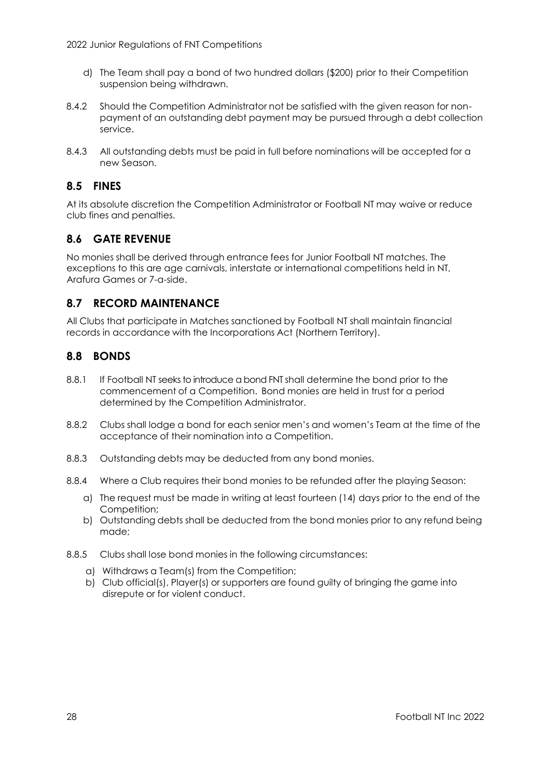- d) The Team shall pay a bond of two hundred dollars (\$200) prior to their Competition suspension being withdrawn.
- 8.4.2 Should the Competition Administrator not be satisfied with the given reason for nonpayment of an outstanding debt payment may be pursued through a debt collection service.
- 8.4.3 All outstanding debts must be paid in full before nominations will be accepted for a new Season.

# <span id="page-31-0"></span>**8.5 FINES**

At its absolute discretion the Competition Administrator or Football NT may waive or reduce club fines and penalties.

# <span id="page-31-1"></span>**8.6 GATE REVENUE**

No monies shall be derived through entrance fees for Junior Football NT matches. The exceptions to this are age carnivals, interstate or international competitions held in NT, Arafura Games or 7-a-side.

# <span id="page-31-2"></span>**8.7 RECORD MAINTENANCE**

All Clubs that participate in Matches sanctioned by Football NT shall maintain financial records in accordance with the Incorporations Act (Northern Territory).

### <span id="page-31-3"></span>**8.8 BONDS**

- 8.8.1 If Football NT seeks to introduce a bond FNT shall determine the bond prior to the commencement of a Competition. Bond monies are held in trust for a period determined by the Competition Administrator.
- 8.8.2 Clubs shall lodge a bond for each senior men's and women's Team at the time of the acceptance of their nomination into a Competition.
- 8.8.3 Outstanding debts may be deducted from any bond monies.
- 8.8.4 Where a Club requires their bond monies to be refunded after the playing Season:
	- a) The request must be made in writing at least fourteen (14) days prior to the end of the Competition;
	- b) Outstanding debts shall be deducted from the bond monies prior to any refund being made;
- 8.8.5 Clubs shall lose bond monies in the following circumstances:
	- a) Withdraws a Team(s) from the Competition;
	- b) Club official(s), Player(s) or supporters are found guilty of bringing the game into disrepute or for violent conduct.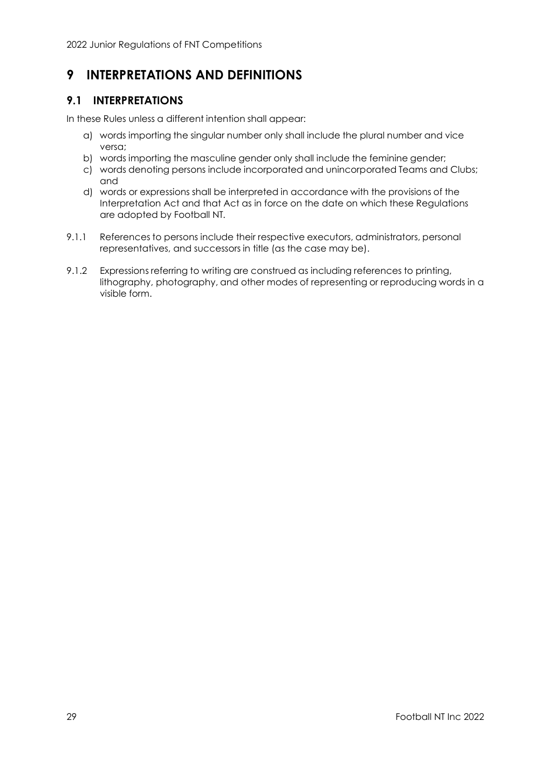# <span id="page-32-0"></span>**9 INTERPRETATIONS AND DEFINITIONS**

# <span id="page-32-1"></span>**9.1 INTERPRETATIONS**

In these Rules unless a different intention shall appear:

- a) words importing the singular number only shall include the plural number and vice versa;
- b) words importing the masculine gender only shall include the feminine gender;
- c) words denoting persons include incorporated and unincorporated Teams and Clubs; and
- d) words or expressions shall be interpreted in accordance with the provisions of the Interpretation Act and that Act as in force on the date on which these Regulations are adopted by Football NT.
- 9.1.1 References to persons include their respective executors, administrators, personal representatives, and successors in title (as the case may be).
- 9.1.2 Expressions referring to writing are construed as including references to printing, lithography, photography, and other modes of representing or reproducing words in a visible form.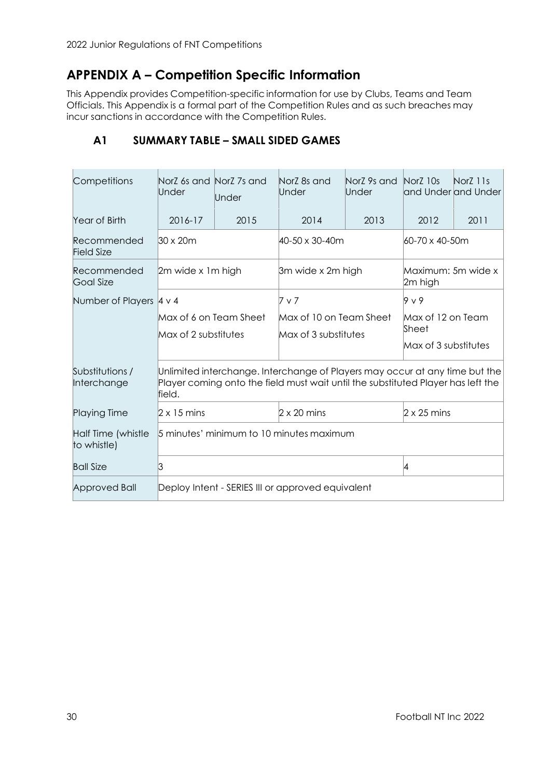# <span id="page-33-0"></span>**APPENDIX A – Competition Specific Information**

This Appendix provides Competition-specific information for use by Clubs, Teams and Team Officials. This Appendix is a formal part of the Competition Rules and as such breaches may incur sanctions in accordance with the Competition Rules.

| Competitions                      | NorZ 6s and NorZ 7s and<br>Under                                                                                                                                          | Under | NorZ 8s and<br>Under    | NorZ 9s and<br>Under          | NorZ 10s                      | NorZ 11s<br>and Underland Under |  |  |
|-----------------------------------|---------------------------------------------------------------------------------------------------------------------------------------------------------------------------|-------|-------------------------|-------------------------------|-------------------------------|---------------------------------|--|--|
| Year of Birth                     | 2016-17                                                                                                                                                                   | 2015  | 2014                    | 2013                          | 2012                          | 2011                            |  |  |
| Recommended<br><b>Field Size</b>  | $30 \times 20m$                                                                                                                                                           |       | 40-50 x 30-40m          |                               | 60-70 x 40-50m                |                                 |  |  |
| Recommended<br><b>Goal Size</b>   | 2m wide x 1m high                                                                                                                                                         |       | 3m wide x 2m high       |                               | Maximum: 5m wide x<br>2m high |                                 |  |  |
| Number of Players 4 v 4           |                                                                                                                                                                           |       | 7 v 7                   |                               | $9 \vee 9$                    |                                 |  |  |
|                                   | Max of 6 on Team Sheet                                                                                                                                                    |       | Max of 10 on Team Sheet |                               | Max of 12 on Team             |                                 |  |  |
|                                   | Max of 2 substitutes<br>Max of 3 substitutes                                                                                                                              |       |                         | Sheet<br>Max of 3 substitutes |                               |                                 |  |  |
|                                   |                                                                                                                                                                           |       |                         |                               |                               |                                 |  |  |
| Substitutions /<br>Interchange    | Unlimited interchange. Interchange of Players may occur at any time but the<br>Player coming onto the field must wait until the substituted Player has left the<br>field. |       |                         |                               |                               |                                 |  |  |
| <b>Playing Time</b>               | $2 \times 15$ mins                                                                                                                                                        |       | $2 \times 20$ mins      |                               | $2 \times 25$ mins            |                                 |  |  |
| Half Time (whistle<br>to whistle) | 5 minutes' minimum to 10 minutes maximum                                                                                                                                  |       |                         |                               |                               |                                 |  |  |
| <b>Ball Size</b>                  | ß.                                                                                                                                                                        | 4     |                         |                               |                               |                                 |  |  |
| <b>Approved Ball</b>              | Deploy Intent - SERIES III or approved equivalent                                                                                                                         |       |                         |                               |                               |                                 |  |  |

# <span id="page-33-1"></span>**A1 SUMMARY TABLE – SMALL SIDED GAMES**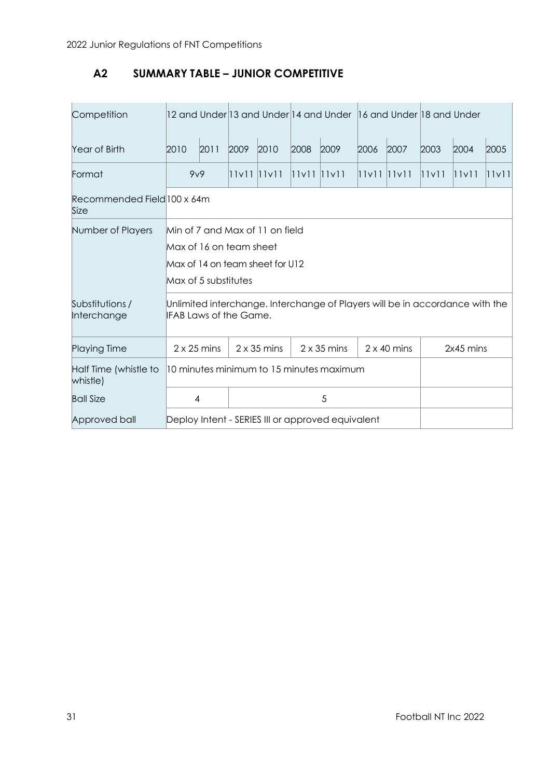# <span id="page-34-0"></span>**A2 SUMMARY TABLE – JUNIOR COMPETITIVE**

| Competition                         |                                                                                                                       |      |                 |      | 12 and Under 13 and Under 14 and Under 16 and Under 18 and Under |      |                 |      |       |       |       |
|-------------------------------------|-----------------------------------------------------------------------------------------------------------------------|------|-----------------|------|------------------------------------------------------------------|------|-----------------|------|-------|-------|-------|
| Year of Birth                       | 2010                                                                                                                  | 2011 | 2009            | 2010 | 2008                                                             | 2009 | 2006            | 2007 | 2003  | 2004  | 2005  |
| Format                              | 9v9                                                                                                                   |      | $11v11$ $11v11$ |      | $11v11$ $11v11$                                                  |      | $11v11$ $11v11$ |      | 11v11 | 11v11 | 11v11 |
| Recommended Field 100 x 64m<br>Size |                                                                                                                       |      |                 |      |                                                                  |      |                 |      |       |       |       |
| Number of Players                   | Min of 7 and Max of 11 on field<br>Max of 16 on team sheet<br>Max of 14 on team sheet for U12<br>Max of 5 substitutes |      |                 |      |                                                                  |      |                 |      |       |       |       |
| Substitutions /<br>Interchange      | Unlimited interchange. Interchange of Players will be in accordance with the<br><b>IFAB Laws of the Game.</b>         |      |                 |      |                                                                  |      |                 |      |       |       |       |
| <b>Playing Time</b>                 | $2 \times 25$ mins<br>$2 \times 35$ mins<br>$2 \times 35$ mins<br>$2 \times 40$ mins<br>2x45 mins                     |      |                 |      |                                                                  |      |                 |      |       |       |       |
| Half Time (whistle to<br>whistle)   | 10 minutes minimum to 15 minutes maximum                                                                              |      |                 |      |                                                                  |      |                 |      |       |       |       |
| <b>Ball Size</b>                    | 5<br>$\overline{4}$                                                                                                   |      |                 |      |                                                                  |      |                 |      |       |       |       |
| Approved ball                       | Deploy Intent - SERIES III or approved equivalent                                                                     |      |                 |      |                                                                  |      |                 |      |       |       |       |